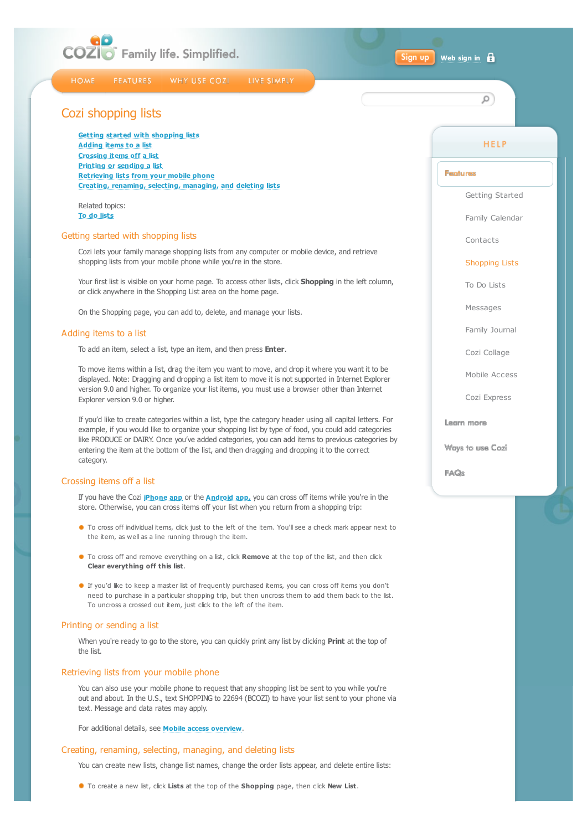<span id="page-0-0"></span>

#### Sign up **[Web sign in](https://my.cozi.com/)**

**HOME FEATURES** 

WHY USE COZI LIVE SIMPLY

# Cozi shopping lists

**[Getting started with shopping lists](#page-0-1) [Adding items to a list](#page-0-2) [Crossing items off a list](#page-0-3) [Printing or sending a list](#page-0-4) [Retrieving lists from your mobile phone](#page-0-5) [Creating, renaming, selecting, managing, and deleting lists](#page-0-6)**

Related topics: **[To do lists](http://www.cozi.com/Help-To-Do-List.htm)**

#### <span id="page-0-1"></span>Getting started with shopping lists

Cozi lets your family manage shopping lists from any computer or mobile device, and retrieve shopping lists from your mobile phone while you're in the store.

Your first list is visible on your home page. To access other lists, click **Shopping** in the left column, or click anywhere in the Shopping List area on the home page.

On the Shopping page, you can add to, delete, and manage your lists.

# <span id="page-0-2"></span>Adding items to a list

To add an item, select a list, type an item, and then press **Enter**.

To move items within a list, drag the item you want to move, and drop it where you want it to be displayed. Note: Dragging and dropping a list item to move it is not supported in Internet Explorer version 9.0 and higher. To organize your list items, you must use a browser other than Internet Explorer version 9.0 or higher.

If you'd like to create categories within a list, type the category header using all capital letters. For example, if you would like to organize your shopping list by type of food, you could add categories like PRODUCE or DAIRY. Once you've added categories, you can add items to previous categories by entering the item at the bottom of the list, and then dragging and dropping it to the correct category.

## <span id="page-0-3"></span>Crossing items off a list

If you have the Cozi **[iPhone app](http://www.cozi.com/iPhoneapp.htm)** or the **[Android app,](http://www.cozi.com/Androidapp.htm)** you can cross off items while you're in the store. Otherwise, you can cross items off your list when you return from a shopping trip:

- To cross off individual items, click just to the left of the item. You'll see a check mark appear next to the item, as well as a line running through the item.
- To cross off and remove everything on a list, click **Remove** at the top of the list, and then click **Clear everything off this list**.
- If you'd like to keep a master list of frequently purchased items, you can cross off items you don't need to purchase in a particular shopping trip, but then uncross them to add them back to the list. To uncross a crossed out item, just click to the left of the item.

#### <span id="page-0-4"></span>Printing or sending a list

When you're ready to go to the store, you can quickly print any list by clicking **Print** at the top of the list.

#### <span id="page-0-5"></span>Retrieving lists from your mobile phone

You can also use your mobile phone to request that any shopping list be sent to you while you're out and about. In the U.S., text SHOPPING to 22694 (BCOZI) to have your list sent to your phone via text. Message and data rates may apply.

For additional details, see **[Mobile access overview](http://www.cozi.com/Help-Mobile-Access-Overview.htm)**.

### <span id="page-0-6"></span>Creating, renaming, selecting, managing, and deleting lists

You can create new lists, change list names, change the order lists appear, and delete entire lists:

To create a new list, click **Lists** at the top of the **Shopping** page, then click **New List**.

#### **HELP**

 $\circ$ 

# **Fontures**

[Getting Started](http://www.cozi.com/Help-Getting-Started.htm)

[Family Calendar](http://www.cozi.com/Help-Family-Calendar.htm)

[Contacts](http://www.cozi.com/Help-Contacts-Export.htm)

#### [Shopping Lists](#page-0-0)

[To Do Lists](http://www.cozi.com/Help-To-Do-List.htm)

[Messages](http://www.cozi.com/Help-Messages.htm)

[Family Journal](http://www.cozi.com/Help-Family-Blog.htm)

[Cozi Collage](http://www.cozi.com/Help-Photo-Screensaver.htm)

[Mobile Access](http://www.cozi.com/Help-Mobile-Access-Overview.htm)

[Cozi Express](http://www.cozi.com/Help-Cozi-Express.htm)

Legro more

Ways to use Cozi

**FAOs**